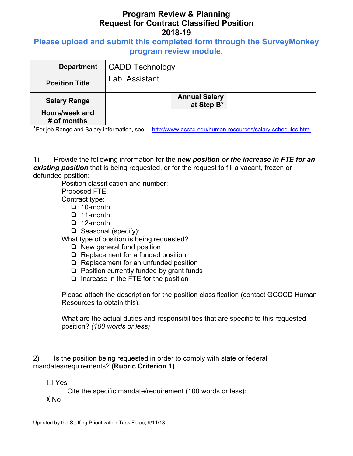## **Program Review & Planning Request for Contract Classified Position 2018-19**

**Please upload and submit this completed form through the SurveyMonkey program review module.**

| <b>Department</b>             | <b>CADD Technology</b>             |
|-------------------------------|------------------------------------|
| <b>Position Title</b>         | Lab. Assistant                     |
| <b>Salary Range</b>           | <b>Annual Salary</b><br>at Step B* |
| Hours/week and<br># of months |                                    |

\*For job Range and Salary information, see: http://www.gcccd.edu/human-resources/salary-schedules.html

1) Provide the following information for the *new position or the increase in FTE for an existing position* that is being requested, or for the request to fill a vacant, frozen or defunded position:

Position classification and number:

Proposed FTE: Contract type:

- ❏ 10-month
- ❏ 11-month
- ❏ 12-month
- ❏ Seasonal (specify):

What type of position is being requested?

- ❏ New general fund position
- ❏ Replacement for a funded position
- ❏ Replacement for an unfunded position
- ❏ Position currently funded by grant funds
- ❏ Increase in the FTE for the position

Please attach the description for the position classification (contact GCCCD Human Resources to obtain this).

What are the actual duties and responsibilities that are specific to this requested position? *(100 words or less)* 

2) Is the position being requested in order to comply with state or federal mandates/requirements? **(Rubric Criterion 1)** 

☐ Yes

Cite the specific mandate/requirement (100 words or less):

X No